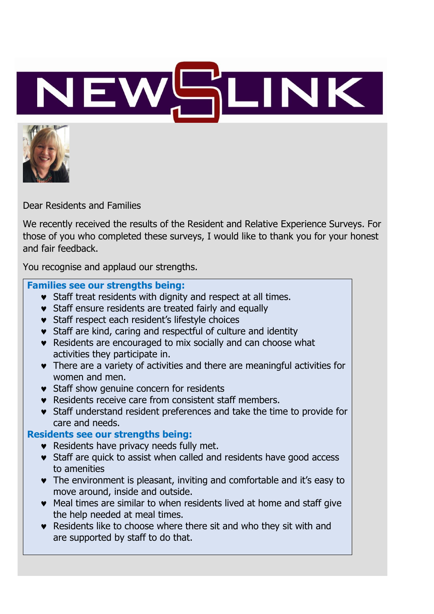



Dear Residents and Families

We recently received the results of the Resident and Relative Experience Surveys. For those of you who completed these surveys, I would like to thank you for your honest and fair feedback.

You recognise and applaud our strengths.

#### **Families see our strengths being:**

- **v** Staff treat residents with dignity and respect at all times.
- **v** Staff ensure residents are treated fairly and equally
- **v** Staff respect each resident's lifestyle choices
- Staff are kind, caring and respectful of culture and identity
- Residents are encouraged to mix socially and can choose what activities they participate in.
- There are a variety of activities and there are meaningful activities for women and men.
- **v** Staff show genuine concern for residents
- Residents receive care from consistent staff members.
- Staff understand resident preferences and take the time to provide for care and needs.

### **Residents see our strengths being:**

- **Residents have privacy needs fully met.**
- **v** Staff are quick to assist when called and residents have good access to amenities
- The environment is pleasant, inviting and comfortable and it's easy to move around, inside and outside.
- Meal times are similar to when residents lived at home and staff give the help needed at meal times.
- Residents like to choose where there sit and who they sit with and are supported by staff to do that.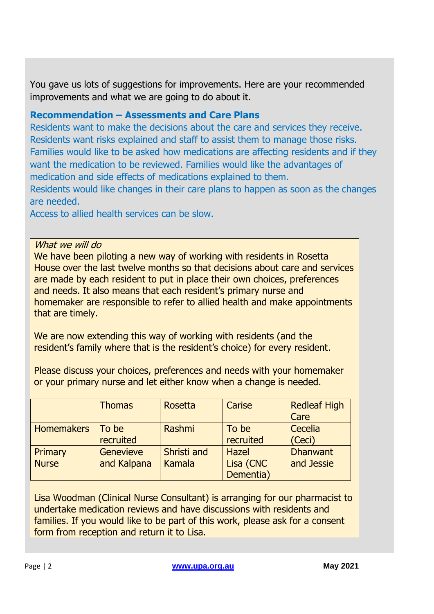You gave us lots of suggestions for improvements. Here are your recommended improvements and what we are going to do about it.

### **Recommendation – Assessments and Care Plans**

Residents want to make the decisions about the care and services they receive. Residents want risks explained and staff to assist them to manage those risks. Families would like to be asked how medications are affecting residents and if they want the medication to be reviewed. Families would like the advantages of medication and side effects of medications explained to them.

Residents would like changes in their care plans to happen as soon as the changes are needed.

Access to allied health services can be slow.

What we will do

We have been piloting a new way of working with residents in Rosetta House over the last twelve months so that decisions about care and services are made by each resident to put in place their own choices, preferences and needs. It also means that each resident's primary nurse and homemaker are responsible to refer to allied health and make appointments that are timely.

We are now extending this way of working with residents (and the resident's family where that is the resident's choice) for every resident.

Please discuss your choices, preferences and needs with your homemaker or your primary nurse and let either know when a change is needed.

|                   | <b>Thomas</b>    | Rosetta     | Carise       | <b>Redleaf High</b><br>Care |
|-------------------|------------------|-------------|--------------|-----------------------------|
|                   |                  |             |              |                             |
| <b>Homemakers</b> | To be            | Rashmi      | To be        | Cecelia                     |
|                   | recruited        |             | recruited    | (Ceci)                      |
| Primary           | <b>Genevieve</b> | Shristi and | <b>Hazel</b> | <b>Dhanwant</b>             |
| <b>Nurse</b>      | and Kalpana      | Kamala      | Lisa (CNC    | and Jessie                  |
|                   |                  |             | Dementia)    |                             |

Lisa Woodman (Clinical Nurse Consultant) is arranging for our pharmacist to undertake medication reviews and have discussions with residents and families. If you would like to be part of this work, please ask for a consent form from reception and return it to Lisa.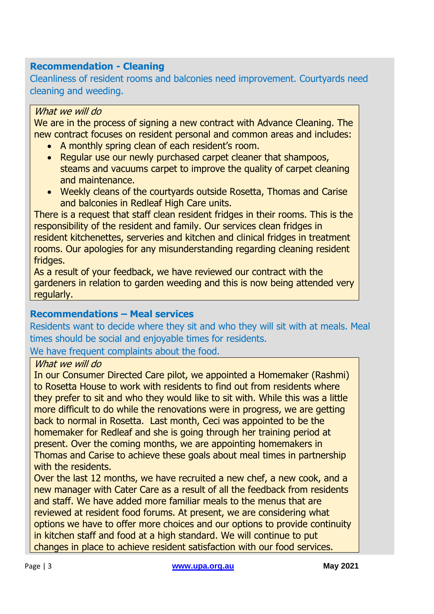### **Recommendation - Cleaning**

Cleanliness of resident rooms and balconies need improvement. Courtyards need cleaning and weeding.

#### What we will do

We are in the process of signing a new contract with Advance Cleaning. The new contract focuses on resident personal and common areas and includes:

- A monthly spring clean of each resident's room.
- Regular use our newly purchased carpet cleaner that shampoos, steams and vacuums carpet to improve the quality of carpet cleaning and maintenance.
- Weekly cleans of the courtyards outside Rosetta, Thomas and Carise and balconies in Redleaf High Care units.

There is a request that staff clean resident fridges in their rooms. This is the responsibility of the resident and family. Our services clean fridges in resident kitchenettes, serveries and kitchen and clinical fridges in treatment rooms. Our apologies for any misunderstanding regarding cleaning resident fridges.

As a result of your feedback, we have reviewed our contract with the gardeners in relation to garden weeding and this is now being attended very regularly.

### **Recommendations – Meal services**

Residents want to decide where they sit and who they will sit with at meals. Meal times should be social and enjoyable times for residents. We have frequent complaints about the food.

### What we will do

In our Consumer Directed Care pilot, we appointed a Homemaker (Rashmi) to Rosetta House to work with residents to find out from residents where they prefer to sit and who they would like to sit with. While this was a little more difficult to do while the renovations were in progress, we are getting back to normal in Rosetta. Last month, Ceci was appointed to be the homemaker for Redleaf and she is going through her training period at present. Over the coming months, we are appointing homemakers in Thomas and Carise to achieve these goals about meal times in partnership with the residents.

Over the last 12 months, we have recruited a new chef, a new cook, and a new manager with Cater Care as a result of all the feedback from residents and staff. We have added more familiar meals to the menus that are reviewed at resident food forums. At present, we are considering what options we have to offer more choices and our options to provide continuity in kitchen staff and food at a high standard. We will continue to put changes in place to achieve resident satisfaction with our food services.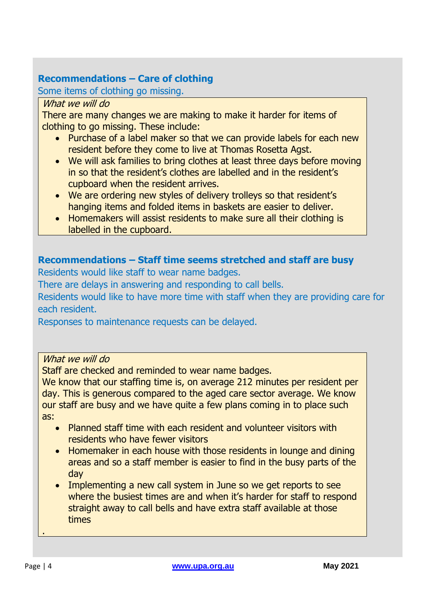### **Recommendations – Care of clothing**

Some items of clothing go missing.

### What we will do

There are many changes we are making to make it harder for items of clothing to go missing. These include:

- Purchase of a label maker so that we can provide labels for each new resident before they come to live at Thomas Rosetta Agst.
- We will ask families to bring clothes at least three days before moving in so that the resident's clothes are labelled and in the resident's cupboard when the resident arrives.
- We are ordering new styles of delivery trolleys so that resident's hanging items and folded items in baskets are easier to deliver.
- Homemakers will assist residents to make sure all their clothing is labelled in the cupboard.

### **Recommendations – Staff time seems stretched and staff are busy**

Residents would like staff to wear name badges.

There are delays in answering and responding to call bells.

Residents would like to have more time with staff when they are providing care for each resident.

Responses to maintenance requests can be delayed.

### What we will do

Staff are checked and reminded to wear name badges.

We know that our staffing time is, on average 212 minutes per resident per day. This is generous compared to the aged care sector average. We know our staff are busy and we have quite a few plans coming in to place such as:

- Planned staff time with each resident and volunteer visitors with residents who have fewer visitors
- Homemaker in each house with those residents in lounge and dining areas and so a staff member is easier to find in the busy parts of the day
- Implementing a new call system in June so we get reports to see where the busiest times are and when it's harder for staff to respond straight away to call bells and have extra staff available at those times

.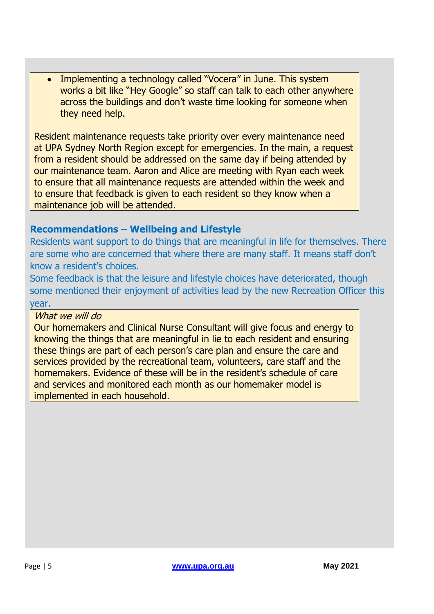• Implementing a technology called "Vocera" in June. This system works a bit like "Hey Google" so staff can talk to each other anywhere across the buildings and don't waste time looking for someone when they need help.

Resident maintenance requests take priority over every maintenance need at UPA Sydney North Region except for emergencies. In the main, a request from a resident should be addressed on the same day if being attended by our maintenance team. Aaron and Alice are meeting with Ryan each week to ensure that all maintenance requests are attended within the week and to ensure that feedback is given to each resident so they know when a maintenance job will be attended.

### **Recommendations – Wellbeing and Lifestyle**

Residents want support to do things that are meaningful in life for themselves. There are some who are concerned that where there are many staff. It means staff don't know a resident's choices.

Some feedback is that the leisure and lifestyle choices have deteriorated, though some mentioned their enjoyment of activities lead by the new Recreation Officer this year.

#### What we will do

Our homemakers and Clinical Nurse Consultant will give focus and energy to knowing the things that are meaningful in lie to each resident and ensuring these things are part of each person's care plan and ensure the care and services provided by the recreational team, volunteers, care staff and the homemakers. Evidence of these will be in the resident's schedule of care and services and monitored each month as our homemaker model is implemented in each household.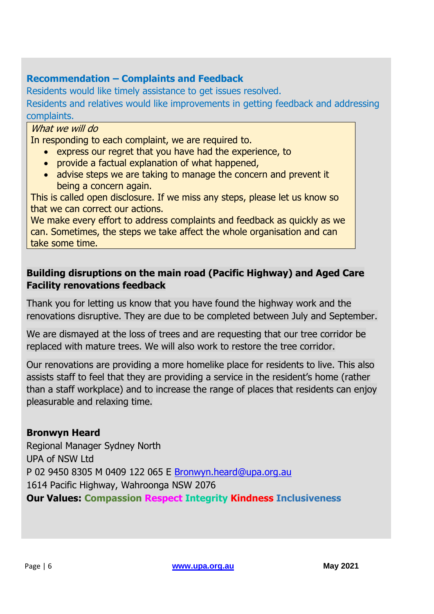### **Recommendation – Complaints and Feedback**

Residents would like timely assistance to get issues resolved. Residents and relatives would like improvements in getting feedback and addressing complaints.

### What we will do

In responding to each complaint, we are required to.

- express our regret that you have had the experience, to
- provide a factual explanation of what happened,
- advise steps we are taking to manage the concern and prevent it being a concern again.

This is called open disclosure. If we miss any steps, please let us know so that we can correct our actions.

We make every effort to address complaints and feedback as quickly as we can. Sometimes, the steps we take affect the whole organisation and can take some time.

### **Building disruptions on the main road (Pacific Highway) and Aged Care Facility renovations feedback**

Thank you for letting us know that you have found the highway work and the renovations disruptive. They are due to be completed between July and September.

We are dismayed at the loss of trees and are requesting that our tree corridor be replaced with mature trees. We will also work to restore the tree corridor.

Our renovations are providing a more homelike place for residents to live. This also assists staff to feel that they are providing a service in the resident's home (rather than a staff workplace) and to increase the range of places that residents can enjoy pleasurable and relaxing time.

### **Bronwyn Heard**

Regional Manager Sydney North UPA of NSW Ltd P 02 9450 8305 M 0409 122 065 E [Bronwyn.heard@upa.org.au](mailto:Bronwyn.heard@upa.org.au) 1614 Pacific Highway, Wahroonga NSW 2076 **Our Values: Compassion Respect Integrity Kindness Inclusiveness**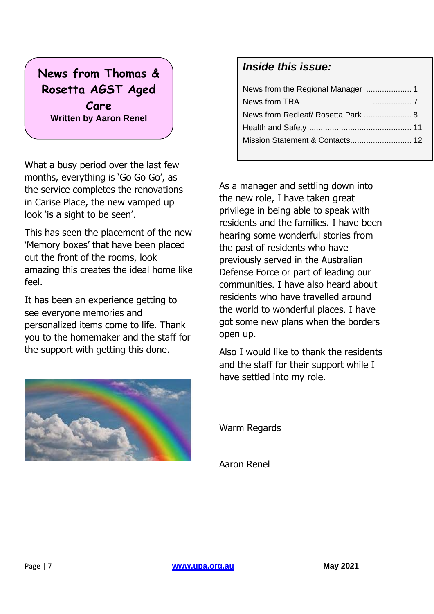### **News from Thomas & Rosetta AGST Aged Care Written by Aaron Renel**

What a busy period over the last few months, everything is 'Go Go Go', as the service completes the renovations in Carise Place, the new vamped up look 'is a sight to be seen'.

This has seen the placement of the new 'Memory boxes' that have been placed out the front of the rooms, look amazing this creates the ideal home like feel.

It has been an experience getting to see everyone memories and personalized items come to life. Thank you to the homemaker and the staff for the support with getting this done.

### *Inside this issue:*

| News from Redleaf/ Rosetta Park  8 |  |
|------------------------------------|--|
|                                    |  |
| Mission Statement & Contacts 12    |  |

As a manager and settling down into the new role, I have taken great privilege in being able to speak with residents and the families. I have been hearing some wonderful stories from the past of residents who have previously served in the Australian Defense Force or part of leading our communities. I have also heard about residents who have travelled around the world to wonderful places. I have got some new plans when the borders open up.

Also I would like to thank the residents and the staff for their support while I have settled into my role.



Warm Regards

Aaron Renel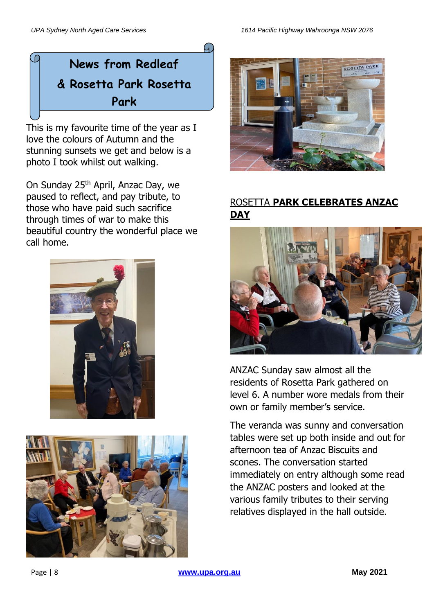## **News from Redleaf & Rosetta Park Rosetta Park**

4.

This is my favourite time of the year as I love the colours of Autumn and the stunning sunsets we get and below is a photo I took whilst out walking. **Written by Alice Mackay**

On Sunday 25<sup>th</sup> April, Anzac Day, we paused to reflect, and pay tribute, to those who have paid such sacrifice through times of war to make this beautiful country the wonderful place we call home.







### ROSETTA **PARK CELEBRATES ANZAC DAY**



ANZAC Sunday saw almost all the residents of Rosetta Park gathered on level 6. A number wore medals from their own or family member's service.

The veranda was sunny and conversation tables were set up both inside and out for afternoon tea of Anzac Biscuits and scones. The conversation started immediately on entry although some read the ANZAC posters and looked at the various family tributes to their serving relatives displayed in the hall outside.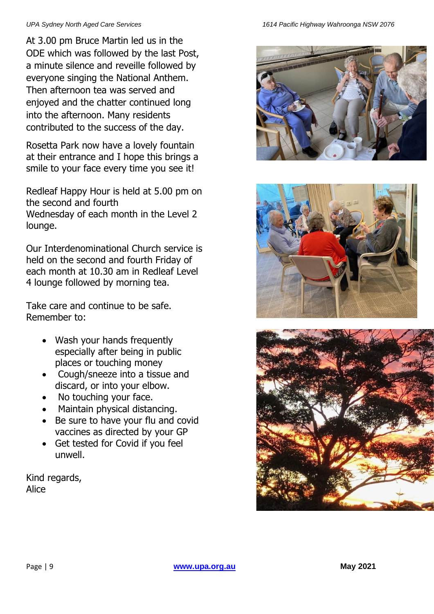At 3.00 pm Bruce Martin led us in the ODE which was followed by the last Post, a minute silence and reveille followed by everyone singing the National Anthem. Then afternoon tea was served and enjoyed and the chatter continued long into the afternoon. Many residents contributed to the success of the day.

Rosetta Park now have a lovely fountain at their entrance and I hope this brings a smile to your face every time you see it!

Redleaf Happy Hour is held at 5.00 pm on the second and fourth Wednesday of each month in the Level 2 lounge.

Our Interdenominational Church service is held on the second and fourth Friday of each month at 10.30 am in Redleaf Level 4 lounge followed by morning tea.

Take care and continue to be safe. Remember to:

- Wash your hands frequently especially after being in public places or touching money
- Cough/sneeze into a tissue and discard, or into your elbow.
- No touching your face.
- Maintain physical distancing.
- Be sure to have your flu and covid vaccines as directed by your GP
- Get tested for Covid if you feel unwell.

Kind regards, Alice





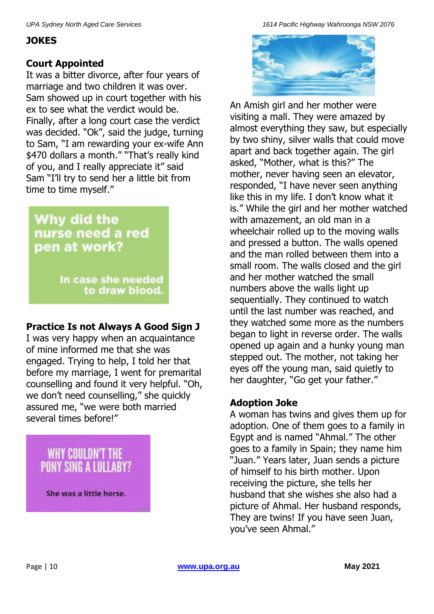### **JOKES**

### **Court Appointed**

It was a bitter divorce, after four years of marriage and two children it was over. Sam showed up in court together with his ex to see what the verdict would be. Finally, after a long court case the verdict was decided. "Ok", said the judge, turning to Sam, "I am rewarding your ex-wife Ann \$470 dollars a month." "That's really kind of you, and I really appreciate it" said Sam "I'll try to send her a little bit from time to time myself."

### Why did the nurse need a red pen at work?

In case she needed to draw blood.

### **Practice Is not Always A Good Sign J**

I was very happy when an acquaintance of mine informed me that she was engaged. Trying to help, I told her that before my marriage, I went for premarital counselling and found it very helpful. "Oh, we don't need counselling," she quickly assured me, "we were both married several times before!"

# WHY COULDN'T THE<br>PONY SING A LULLABY?

She was a little horse.

*UPA Sydney North Aged Care Services 1614 Pacific Highway Wahroonga NSW 2076*



An Amish girl and her mother were visiting a mall. They were amazed by almost everything they saw, but especially by two shiny, silver walls that could move apart and back together again. The girl asked, "Mother, what is this?" The mother, never having seen an elevator, responded, "I have never seen anything like this in my life. I don't know what it is." While the girl and her mother watched with amazement, an old man in a wheelchair rolled up to the moving walls and pressed a button. The walls opened and the man rolled between them into a small room. The walls closed and the girl and her mother watched the small numbers above the walls light up sequentially. They continued to watch until the last number was reached, and they watched some more as the numbers began to light in reverse order. The walls opened up again and a hunky young man stepped out. The mother, not taking her eyes off the young man, said quietly to her daughter, "Go get your father."

### **Adoption Joke**

A woman has twins and gives them up for adoption. One of them goes to a family in Egypt and is named "Ahmal." The other goes to a family in Spain; they name him "Juan." Years later, Juan sends a picture of himself to his birth mother. Upon receiving the picture, she tells her husband that she wishes she also had a picture of Ahmal. Her husband responds, They are twins! If you have seen Juan, you've seen Ahmal."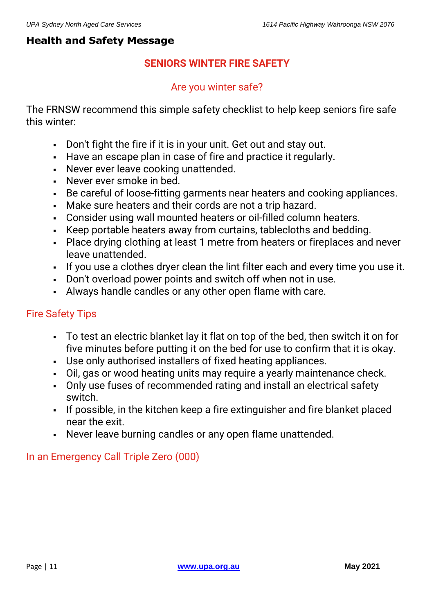### **Health and Safety Message**

### **SENIORS WINTER FIRE SAFETY**

### Are you winter safe?

The FRNSW recommend this simple safety checklist to help keep seniors fire safe this winter:

- Don't fight the fire if it is in your unit. Get out and stay out.
- Have an escape plan in case of fire and practice it regularly.
- Never ever leave cooking unattended.
- Never ever smoke in bed.
- Be careful of loose-fitting garments near heaters and cooking appliances.
- Make sure heaters and their cords are not a trip hazard.
- Consider using wall mounted heaters or oil-filled column heaters.
- Keep portable heaters away from curtains, tablecloths and bedding.
- Place drying clothing at least 1 metre from heaters or fireplaces and never leave unattended.
- If you use a clothes dryer clean the lint filter each and every time you use it.
- Don't overload power points and switch off when not in use.
- Always handle candles or any other open flame with care.

### Fire Safety Tips

- To test an electric blanket lay it flat on top of the bed, then switch it on for five minutes before putting it on the bed for use to confirm that it is okay.
- Use only authorised installers of fixed heating appliances.
- Oil, gas or wood heating units may require a yearly maintenance check.
- Only use fuses of recommended rating and install an electrical safety switch.
- If possible, in the kitchen keep a fire extinguisher and fire blanket placed near the exit.
- Never leave burning candles or any open flame unattended.

### In an Emergency Call Triple Zero (000)